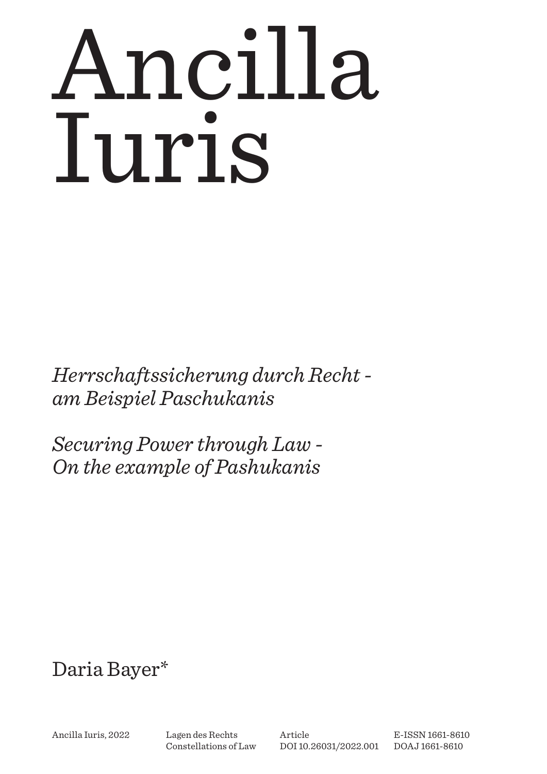# Ancilla Iuris

*Herrschaftssicherung durch Recht am Beispiel Paschukanis*

*Securing Power through Law - On the example of Pashukanis*

# Daria Bayer\*

Ancilla Iuris, 2022 Lagen des Rechts

Constellations of Law

Article [DOI 10.26031/2022.001](http://dx.doi.org/10.26031/2022.001) E-ISSN 1661-8610 DOAJ 1661-8610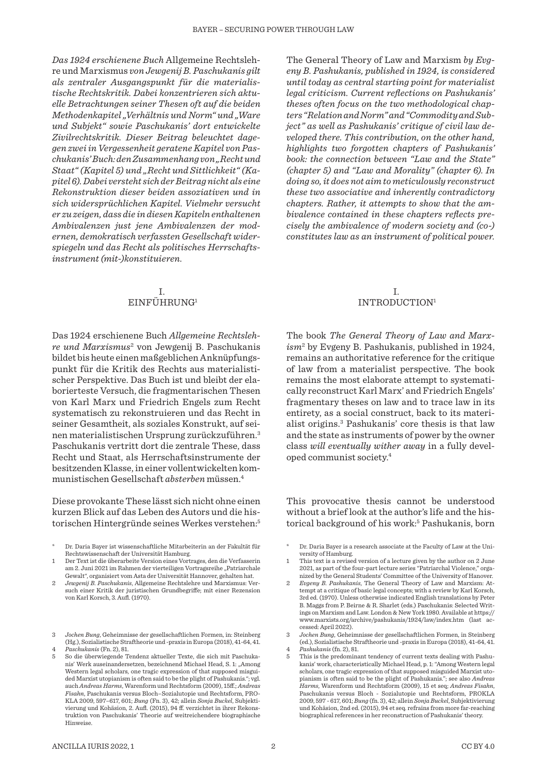*Das 1924 erschienene Buch* Allgemeine Rechtslehre und Marxismus *von Jewgenij B. Paschukanis gilt als zentraler Ausgangspunkt für die materialistische Rechtskritik. Dabei konzentrieren sich aktuelle Betrachtungen seiner Thesen oft auf die beiden Methodenkapitel "Verhältnis und Norm" und "Ware und Subjekt" sowie Paschukanis' dort entwickelte Zivilrechtskritik. Dieser Beitrag beleuchtet dagegen zwei in Vergessenheit geratene Kapitel von Paschukanis' Buch: den Zusammenhang von "Recht und Staat" (Kapitel 5) und "Recht und Sittlichkeit" (Kapitel 6). Dabei versteht sich der Beitrag nicht als eine Rekonstruktion dieser beiden assoziativen und in sich widersprüchlichen Kapitel. Vielmehr versucht er zu zeigen, dass die in diesen Kapiteln enthaltenen Ambivalenzen just jene Ambivalenzen der modernen, demokratisch verfassten Gesellschaft widerspiegeln und das Recht als politisches Herrschaftsinstrument (mit-)konstituieren.* 

# I. EINFÜHRUNG1

Das 1924 erschienene Buch *Allgemeine Rechtslehre und Marxismus*<sup>2</sup> von Jewgenij B. Paschukanis bildet bis heute einen maßgeblichen Anknüpfungspunkt für die Kritik des Rechts aus materialistischer Perspektive. Das Buch ist und bleibt der elaborierteste Versuch, die fragmentarischen Thesen von Karl Marx und Friedrich Engels zum Recht systematisch zu rekonstruieren und das Recht in seiner Gesamtheit, als soziales Konstrukt, auf seinen materialistischen Ursprung zurückzuführen.3 Paschukanis vertritt dort die zentrale These, dass Recht und Staat, als Herrschaftsinstrumente der besitzenden Klasse, in einer vollentwickelten kommunistischen Gesellschaft *absterben* müssen.4

Diese provokante These lässt sich nicht ohne einen kurzen Blick auf das Leben des Autors und die historischen Hintergründe seines Werkes verstehen:<sup>5</sup>

- \* Dr. Daria Bayer ist wissenschaftliche Mitarbeiterin an der Fakultät für Rechtswissenschaft der Universität Hamburg.
- 1 Der Text ist die überarbeite Version eines Vortrages, den die Verfasserin am 2. Juni 2021 im Rahmen der vierteiligen Vortragsreihe "Patriarchale Gewalt", organisiert vom Asta der Universität Hannover, gehalten hat.
- 2 *Jewgenij B. Paschukanis*, Allgemeine Rechtslehre und Marxismus: Versuch einer Kritik der juristischen Grundbegriffe; mit einer Rezension von Karl Korsch, 3. Aufl. (1970).
- 3 *Jochen Bung*, Geheimnisse der gesellschaftlichen Formen, in: Steinberg (Hg.), Sozialistische Straftheorie und -praxis in Europa (2018), 41-64, 41. 4 *Paschukanis* (Fn. 2), 81.
- 5 So die überwiegende Tendenz aktueller Texte, die sich mit Paschukanis' Werk auseinandersetzen, bezeichnend Michael Head, S. 1: "Among Western legal scholars, one tragic expression of that supposed misguided Marxist utopianism is often said to be the plight of Pashukanis."; vgl. auch *Andreas Harms*, Warenform und Rechtsform (2009), 15ff.; *Andreas Fisahn*, Paschukanis versus Bloch–Sozialutopie und Rechtsform, PRO-KLA 2009, 597–617, 601; *Bung* (Fn. 3), 42; allein *Sonja Buckel*, Subjektivierung und Kohäsion, 2. Aufl. (2015), 94 ff. verzichtet in ihrer Rekonstruktion von Paschukanis' Theorie auf weitreichendere biographische Hinweise.

The General Theory of Law and Marxism *by Evgeny B. Pashukanis, published in 1924, is considered until today as central starting point for materialist legal criticism. Current reflections on Pashukanis' theses often focus on the two methodological chapters "Relation and Norm" and "Commodity and Subject" as well as Pashukanis' critique of civil law developed there. This contribution, on the other hand, highlights two forgotten chapters of Pashukanis' book: the connection between "Law and the State" (chapter 5) and "Law and Morality" (chapter 6). In doing so, it does not aim to meticulously reconstruct these two associative and inherently contradictory chapters. Rather, it attempts to show that the ambivalence contained in these chapters reflects precisely the ambivalence of modern society and (co-) constitutes law as an instrument of political power.* 

#### I. INTRODUCTION1

The book *The General Theory of Law and Marxism*<sup>2</sup> by Evgeny B. Pashukanis, published in 1924, remains an authoritative reference for the critique of law from a materialist perspective. The book remains the most elaborate attempt to systematically reconstruct Karl Marx' and Friedrich Engels' fragmentary theses on law and to trace law in its entirety, as a social construct, back to its materialist origins.3 Pashukanis' core thesis is that law and the state as instruments of power by the owner class *will eventually wither away* in a fully developed communist society.4

This provocative thesis cannot be understood without a brief look at the author's life and the historical background of his work:<sup>5</sup> Pashukanis, born

Dr. Daria Bayer is a research associate at the Faculty of Law at the University of Hamburg.

- 1 This text is a revised version of a lecture given by the author on 2 June 2021, as part of the four-part lecture series "Patriarchal Violence," organized by the General Students' Committee of the University of Hanover.
- 2 *Evgeny B. Pashukanis*, The General Theory of Law and Marxism: Attempt at a critique of basic legal concepts; with a review by Karl Korsch, 3rd ed. (1970). Unless otherwise indicated English translations by Peter B. Maggs from P. Beirne & R. Sharlet (eds.) Paschukanis: Selected Writings on Marxism and Law. London & New York 1980. Available at https:// www.marxists.org/archive/pashukanis/1924/law/index.htm (last accessed: April 2022).
- 3 *Jochen Bung*, Geheimnisse der gesellschaftlichen Formen, in Steinberg (ed.), Sozialistische Straftheorie und -praxis in Europa (2018), 41-64, 41. 4 *Pashukanis* (fn. 2), 81.

5 This is the predominant tendency of current texts dealing with Pashukanis' work, characteristically Michael Head, p. 1: "Among Western legal scholars, one tragic expression of that supposed misguided Marxist utopianism is often said to be the plight of Pashukanis."; see also *Andreas Harms*, Warenform und Rechtsform (2009), 15 et seq; *Andreas Fisahn*, Paschukanis versus Bloch - Sozialutopie und Rechtsform, PROKLA 2009, 597 - 617, 601; *Bung* (fn. 3), 42; allein *Sonja Buckel*, Subjektivierung und Kohäsion, 2nd ed. (2015), 94 et seq. refrains from more far-reaching biographical references in her reconstruction of Pashukanis' theory.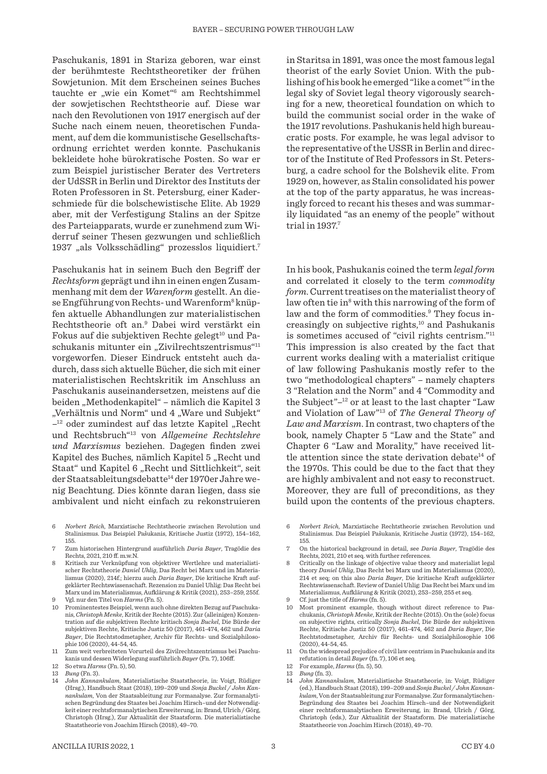Paschukanis, 1891 in Stariza geboren, war einst der berühmteste Rechtstheoretiker der frühen Sowjetunion. Mit dem Erscheinen seines Buches tauchte er "wie ein Komet"<sup>6</sup> am Rechtshimmel der sowjetischen Rechtstheorie auf. Diese war nach den Revolutionen von 1917 energisch auf der Suche nach einem neuen, theoretischen Fundament, auf dem die kommunistische Gesellschaftsordnung errichtet werden konnte. Paschukanis bekleidete hohe bürokratische Posten. So war er zum Beispiel juristischer Berater des Vertreters der UdSSR in Berlin und Direktor des Instituts der Roten Professoren in St. Petersburg, einer Kaderschmiede für die bolschewistische Elite. Ab 1929 aber, mit der Verfestigung Stalins an der Spitze des Parteiapparats, wurde er zunehmend zum Widerruf seiner Thesen gezwungen und schließlich 1937 "als Volksschädling" prozesslos liquidiert.7

Paschukanis hat in seinem Buch den Begriff der *Rechtsform* geprägt und ihn in einen engen Zusammenhang mit dem der *Warenform* gestellt. An diese Engführung von Rechts- und Warenform<sup>8</sup> knüpfen aktuelle Abhandlungen zur materialistischen Rechtstheorie oft an.9 Dabei wird verstärkt ein Fokus auf die subjektiven Rechte gelegt<sup>10</sup> und Paschukanis mitunter ein "Zivilrechtszentrismus"<sup>11</sup> vorgeworfen. Dieser Eindruck entsteht auch dadurch, dass sich aktuelle Bücher, die sich mit einer materialistischen Rechtskritik im Anschluss an Paschukanis auseinandersetzen, meistens auf die beiden "Methodenkapitel" – nämlich die Kapitel 3 "Verhältnis und Norm" und 4 "Ware und Subjekt"  $-$ <sup>12</sup> oder zumindest auf das letzte Kapitel "Recht und Rechtsbruch"13 von *Allgemeine Rechtslehre und Marxismus* beziehen. Dagegen finden zwei Kapitel des Buches, nämlich Kapitel 5 "Recht und Staat" und Kapitel 6 "Recht und Sittlichkeit", seit der Staatsableitungsdebatte<sup>14</sup> der 1970er Jahre wenig Beachtung. Dies könnte daran liegen, dass sie ambivalent und nicht einfach zu rekonstruieren

- 6 *Norbert Reich*, Marxistische Rechtstheorie zwischen Revolution und Stalinismus. Das Beispiel Pašukanis, Kritische Justiz (1972), 154–162, 155.
- 7 Zum historischen Hintergrund ausführlich *Daria Bayer*, Tragödie des Rechts, 2021, 210 ff. m.w.N.
- 8 Kritisch zur Verknüpfung von objektiver Wertlehre und materialistischer Rechtstheorie *Daniel Uhlig*, Das Recht bei Marx und im Materialismus (2020), 214f.; hierzu auch *Daria Bayer*, Die kritische Kraft aufgeklärter Rechtswissenschaft. Rezension zu Daniel Uhlig: Das Recht bei Marx und im Materialismus, Aufklärung & Kritik (2021), 253–259, 255f.
- 9 Vgl. nur den Titel von *Harms* (Fn. 5).
- 10 Prominentestes Beispiel, wenn auch ohne direkten Bezug auf Paschukanis, *Christoph Menke*, Kritik der Rechte (2015). Zur (alleinigen) Konzentration auf die subjektiven Rechte kritisch *Sonja Buckel*, Die Bürde der subjektiven Rechte, Kritische Justiz 50 (2017), 461-474, 462 und *Daria Bayer*, Die Rechtstodmetapher, Archiv für Rechts- und Sozialphilosophie 106 (2020), 44-54, 45.
- 11 Zum weit verbreiteten Vorurteil des Zivilrechtszentrismus bei Paschukanis und dessen Widerlegung ausführlich *Bayer* (Fn. 7), 106ff.
- 12 So etwa *Harms* (Fn. 5), 50.

14 *John Kannankulam*, Materialistische Staatstheorie, in: Voigt, Rüdiger (Hrsg.), Handbuch Staat (2018), 199–209 und *Sonja Buckel / John Kannankulam*, Von der Staatsableitung zur Formanalyse. Zur formanalytischen Begründung des Staates bei Joachim Hirsch–und der Notwendigkeit einer rechtsformanalytischen Erweiterung, in: Brand, Ulrich / Görg, Christoph (Hrsg.), Zur Aktualität der Staatsform. Die materialistische Staatstheorie von Joachim Hirsch (2018), 49–70.

in Staritsa in 1891, was once the most famous legal theorist of the early Soviet Union. With the publishing of his book he emerged "like a comet"<sup>6</sup> in the legal sky of Soviet legal theory vigorously searching for a new, theoretical foundation on which to build the communist social order in the wake of the 1917 revolutions. Pashukanis held high bureaucratic posts. For example, he was legal advisor to the representative of the USSR in Berlin and director of the Institute of Red Professors in St. Petersburg, a cadre school for the Bolshevik elite. From 1929 on, however, as Stalin consolidated his power at the top of the party apparatus, he was increasingly forced to recant his theses and was summarily liquidated "as an enemy of the people" without trial in 1937.7

In his book, Pashukanis coined the term *legal form* and correlated it closely to the term *commodity form*. Current treatises on the materialist theory of law often tie in<sup>8</sup> with this narrowing of the form of law and the form of commodities.<sup>9</sup> They focus increasingly on subjective rights, $10$  and Pashukanis is sometimes accused of "civil rights centrism."11 This impression is also created by the fact that current works dealing with a materialist critique of law following Pashukanis mostly refer to the two "methodological chapters" – namely chapters 3 "Relation and the Norm" and 4 "Commodity and the Subject"–12 or at least to the last chapter "Law and Violation of Law"13 of *The General Theory of Law and Marxism*. In contrast, two chapters of the book*,* namely Chapter 5 "Law and the State" and Chapter 6 "Law and Morality," have received little attention since the state derivation debate<sup>14</sup> of the 1970s. This could be due to the fact that they are highly ambivalent and not easy to reconstruct. Moreover, they are full of preconditions, as they build upon the contents of the previous chapters.

- 6 *Norbert Reich*, Marxistische Rechtstheorie zwischen Revolution und Stalinismus. Das Beispiel Pašukanis, Kritische Justiz (1972), 154–162, 155.
- 7 On the historical background in detail, see *Daria Bayer*, Tragödie des Rechts, 2021, 210 et seq. with further references.
- 8 Critically on the linkage of objective value theory and materialist legal theory *Daniel Uhlig*, Das Recht bei Marx und im Materialismus (2020), 214 et seq; on this also *Daria Bayer*, Die kritische Kraft aufgeklärter Rechtswissenschaft. Review of Daniel Uhlig: Das Recht bei Marx und im Materialismus, Aufklärung & Kritik (2021), 253–259, 255 et seq.
- 9 Cf. just the title of *Harms* (fn. 5).
- 10 Most prominent example, though without direct reference to Paschukanis, *Christoph Menke*, Kritik der Rechte (2015). On the (sole) focus on subjective rights, critically *Sonja Buckel*, Die Bürde der subjektiven Rechte, Kritische Justiz 50 (2017), 461-474, 462 and *Daria Bayer*, Die Rechtstodmetapher, Archiv für Rechts- und Sozialphilosophie 106 (2020), 44-54, 45.
- 11 On the widespread prejudice of civil law centrism in Paschukanis and its refutation in detail *Bayer* (fn. 7), 106 et seq.
- 12 For example, *Harms* (fn. 5), 50.
- 13 *Bung* (fn. 3). 14 *John Kannankulam*, Materialistische Staatstheorie, in: Voigt, Rüdiger (ed.), Handbuch Staat (2018), 199–209 and *Sonja Buckel / John Kannankulam*, Von der Staatsableitung zur Formanalyse. Zur formanalytischen-Begründung des Staates bei Joachim Hirsch–und der Notwendigkeit einer rechtsformanalytischen Erweiterung, in: Brand, Ulrich / Görg, Christoph (eds.), Zur Aktualität der Staatsform. Die materialistische Staatstheorie von Joachim Hirsch (2018), 49–70.

<sup>13</sup> *Bung* (Fn. 3).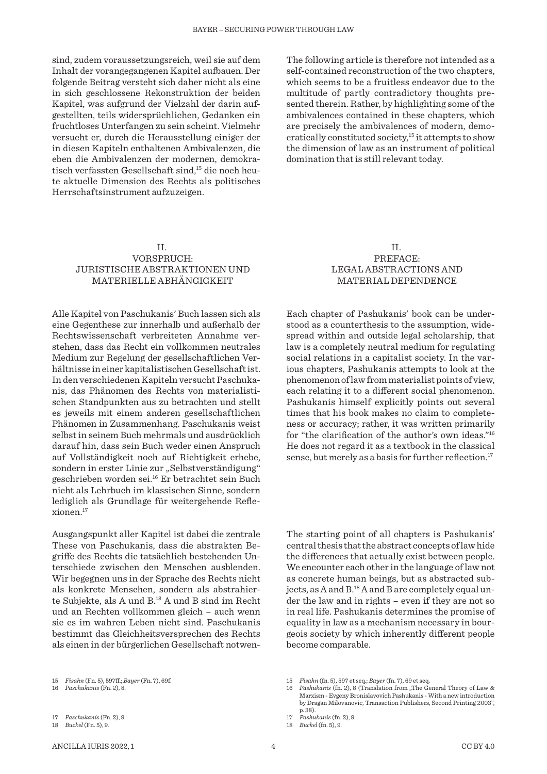sind, zudem voraussetzungsreich, weil sie auf dem Inhalt der vorangegangenen Kapitel aufbauen. Der folgende Beitrag versteht sich daher nicht als eine in sich geschlossene Rekonstruktion der beiden Kapitel, was aufgrund der Vielzahl der darin aufgestellten, teils widersprüchlichen, Gedanken ein fruchtloses Unterfangen zu sein scheint. Vielmehr versucht er, durch die Herausstellung einiger der in diesen Kapiteln enthaltenen Ambivalenzen, die eben die Ambivalenzen der modernen, demokratisch verfassten Gesellschaft sind,<sup>15</sup> die noch heute aktuelle Dimension des Rechts als politisches Herrschaftsinstrument aufzuzeigen.

## II. VORSPRUCH: JURISTISCHE ABSTRAKTIONEN UND MATERIELLE ABHÄNGIGKEIT

Alle Kapitel von Paschukanis' Buch lassen sich als eine Gegenthese zur innerhalb und außerhalb der Rechtswissenschaft verbreiteten Annahme verstehen, dass das Recht ein vollkommen neutrales Medium zur Regelung der gesellschaftlichen Verhältnisse in einer kapitalistischen Gesellschaft ist. In den verschiedenen Kapiteln versucht Paschukanis, das Phänomen des Rechts von materialistischen Standpunkten aus zu betrachten und stellt es jeweils mit einem anderen gesellschaftlichen Phänomen in Zusammenhang. Paschukanis weist selbst in seinem Buch mehrmals und ausdrücklich darauf hin, dass sein Buch weder einen Anspruch auf Vollständigkeit noch auf Richtigkeit erhebe, sondern in erster Linie zur "Selbstverständigung" geschrieben worden sei.16 Er betrachtet sein Buch nicht als Lehrbuch im klassischen Sinne, sondern lediglich als Grundlage für weitergehende Reflexionen.17

Ausgangspunkt aller Kapitel ist dabei die zentrale These von Paschukanis, dass die abstrakten Begriffe des Rechts die tatsächlich bestehenden Unterschiede zwischen den Menschen ausblenden. Wir begegnen uns in der Sprache des Rechts nicht als konkrete Menschen, sondern als abstrahierte Subjekte, als A und B.18 A und B sind im Recht und an Rechten vollkommen gleich – auch wenn sie es im wahren Leben nicht sind. Paschukanis bestimmt das Gleichheitsversprechen des Rechts als einen in der bürgerlichen Gesellschaft notwen-

ANCILLA IURIS 2022, 1  $\qquad \qquad \qquad 4$   $\qquad \qquad \qquad 202.40$ 

The following article is therefore not intended as a self-contained reconstruction of the two chapters, which seems to be a fruitless endeavor due to the multitude of partly contradictory thoughts presented therein. Rather, by highlighting some of the ambivalences contained in these chapters, which are precisely the ambivalences of modern, democratically constituted society,15 it attempts to show the dimension of law as an instrument of political domination that is still relevant today.

> II. PREFACE: LEGAL ABSTRACTIONS AND MATERIAL DEPENDENCE

Each chapter of Pashukanis' book can be understood as a counterthesis to the assumption, widespread within and outside legal scholarship, that law is a completely neutral medium for regulating social relations in a capitalist society. In the various chapters, Pashukanis attempts to look at the phenomenon of law from materialist points of view, each relating it to a different social phenomenon. Pashukanis himself explicitly points out several times that his book makes no claim to completeness or accuracy; rather, it was written primarily for "the clarification of the author's own ideas."16 He does not regard it as a textbook in the classical sense, but merely as a basis for further reflection.<sup>17</sup>

The starting point of all chapters is Pashukanis' central thesis that the abstract concepts of law hide the differences that actually exist between people. We encounter each other in the language of law not as concrete human beings, but as abstracted subjects, as A and B.18 A and B are completely equal under the law and in rights – even if they are not so in real life. Pashukanis determines the promise of equality in law as a mechanism necessary in bourgeois society by which inherently different people become comparable.

16 *Pashukanis* (fn. 2), 8 (Translation from "The General Theory of Law & Marxism - Evgeny Bronislavovich Pashukanis - With a new introduction by Dragan Milovanovic, Transaction Publishers, Second Printing 2003", p. 38).

<sup>15</sup> *Fisahn* (Fn. 5), 597ff.; *Bayer* (Fn. 7), 69f.

<sup>16</sup> *Paschukanis* (Fn. 2), 8.

<sup>17</sup> *Paschukanis* (Fn. 2), 9.

<sup>18</sup> *Buckel* (Fn. 5), 9.

<sup>15</sup> *Fisahn* (fn. 5), 597 et seq.; *Bayer* (fn. 7), 69 et seq.

<sup>17</sup> *Pashukanis* (fn. 2), 9.

<sup>18</sup> *Buckel* (fn. 5), 9.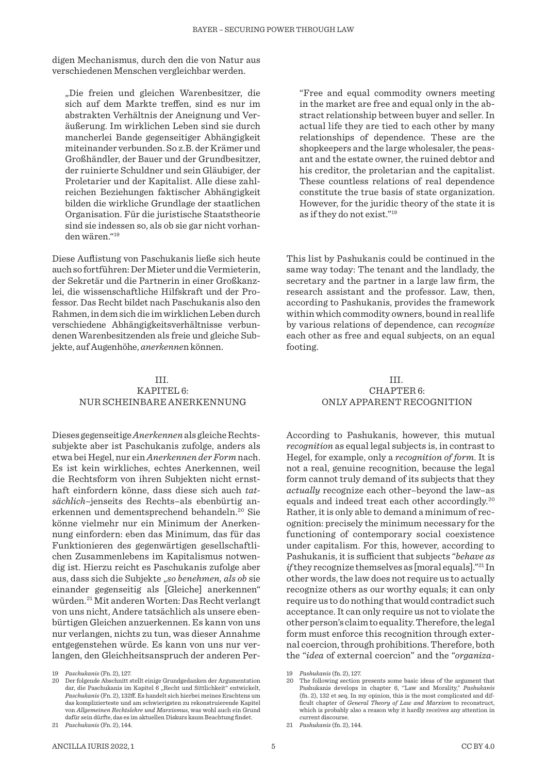digen Mechanismus, durch den die von Natur aus verschiedenen Menschen vergleichbar werden.

"Die freien und gleichen Warenbesitzer, die sich auf dem Markte treffen, sind es nur im abstrakten Verhältnis der Aneignung und Veräußerung. Im wirklichen Leben sind sie durch mancherlei Bande gegenseitiger Abhängigkeit miteinander verbunden. So z.B. der Krämer und Großhändler, der Bauer und der Grundbesitzer, der ruinierte Schuldner und sein Gläubiger, der Proletarier und der Kapitalist. Alle diese zahlreichen Beziehungen faktischer Abhängigkeit bilden die wirkliche Grundlage der staatlichen Organisation. Für die juristische Staatstheorie sind sie indessen so, als ob sie gar nicht vorhanden wären."19

Diese Auflistung von Paschukanis ließe sich heute auch so fortführen: Der Mieter und die Vermieterin, der Sekretär und die Partnerin in einer Großkanzlei, die wissenschaftliche Hilfskraft und der Professor. Das Recht bildet nach Paschukanis also den Rahmen, in dem sich die im wirklichen Leben durch verschiedene Abhängigkeitsverhältnisse verbundenen Warenbesitzenden als freie und gleiche Subjekte, auf Augenhöhe, *anerkenne*n können.

"Free and equal commodity owners meeting in the market are free and equal only in the abstract relationship between buyer and seller. In actual life they are tied to each other by many relationships of dependence. These are the shopkeepers and the large wholesaler, the peasant and the estate owner, the ruined debtor and his creditor, the proletarian and the capitalist. These countless relations of real dependence constitute the true basis of state organization. However, for the juridic theory of the state it is as if they do not exist."19

This list by Pashukanis could be continued in the same way today: The tenant and the landlady, the secretary and the partner in a large law firm, the research assistant and the professor. Law, then, according to Pashukanis, provides the framework within which commodity owners, bound in real life by various relations of dependence, can *recognize*  each other as free and equal subjects, on an equal footing.

#### III. KAPITEL 6: NUR SCHEINBARE ANERKENNUNG

Dieses gegenseitige *Anerkennen* als gleiche Rechtssubjekte aber ist Paschukanis zufolge, anders als etwa bei Hegel, nur ein *Anerkennen der Form* nach. Es ist kein wirkliches, echtes Anerkennen, weil die Rechtsform von ihren Subjekten nicht ernsthaft einfordern könne, dass diese sich auch *tatsächlich*–jenseits des Rechts–als ebenbürtig anerkennen und dementsprechend behandeln.<sup>20</sup> Sie könne vielmehr nur ein Minimum der Anerkennung einfordern: eben das Minimum, das für das Funktionieren des gegenwärtigen gesellschaftlichen Zusammenlebens im Kapitalismus notwendig ist. Hierzu reicht es Paschukanis zufolge aber aus, dass sich die Subjekte "*so benehmen, als ob* sie einander gegenseitig als [Gleiche] anerkennen" würden.21 Mit anderen Worten: Das Recht verlangt von uns nicht, Andere tatsächlich als unsere ebenbürtigen Gleichen anzuerkennen. Es kann von uns nur verlangen, nichts zu tun, was dieser Annahme entgegenstehen würde. Es kann von uns nur verlangen, den Gleichheitsanspruch der anderen Per-

#### III. CHAPTER 6: ONLY APPARENT RECOGNITION

According to Pashukanis, however, this mutual *recognition* as equal legal subjects is, in contrast to Hegel, for example, only a *recognition of form*. It is not a real, genuine recognition, because the legal form cannot truly demand of its subjects that they *actually* recognize each other–beyond the law–as equals and indeed treat each other accordingly.20 Rather, it is only able to demand a minimum of recognition: precisely the minimum necessary for the functioning of contemporary social coexistence under capitalism. For this, however, according to Pashukanis, it is sufficient that subjects "*behave as if* they recognize themselves as [moral equals]."<sup>21</sup> In other words, the law does not require us to actually recognize others as our worthy equals; it can only require us to do nothing that would contradict such acceptance. It can only require us not to violate the other person's claim to equality. Therefore, the legal form must enforce this recognition through external coercion, through prohibitions. Therefore, both the "*idea* of external coercion" and the "*organiza-*

<sup>19</sup> *Paschukanis* (Fn. 2), 127.

<sup>20</sup> Der folgende Abschnitt stellt einige Grundgedanken der Argumentation dar, die Paschukanis im Kapitel 6 "Recht und Sittlichkeit" entwickelt, *Paschukanis* (Fn. 2), 132ff. Es handelt sich hierbei meines Erachtens um das komplizierteste und am schwierigsten zu rekonstruierende Kapitel von *Allgemeinen Rechtslehre und Marxismus*, was wohl auch ein Grund dafür sein dürfte, das es im aktuellen Diskurs kaum Beachtung findet.

<sup>21</sup> *Paschukanis* (Fn. 2), 144.

<sup>19</sup> *Pashukanis* (fn. 2), 127.

The following section presents some basic ideas of the argument that Pashukanis develops in chapter 6, "Law and Morality," *Pashukanis* (fn. 2), 132 et seq. In my opinion, this is the most complicated and difficult chapter of *General Theory of Law and Marxism* to reconstruct, which is probably also a reason why it hardly receives any attention in current discourse.

<sup>21</sup> *Pashukanis* (fn. 2), 144.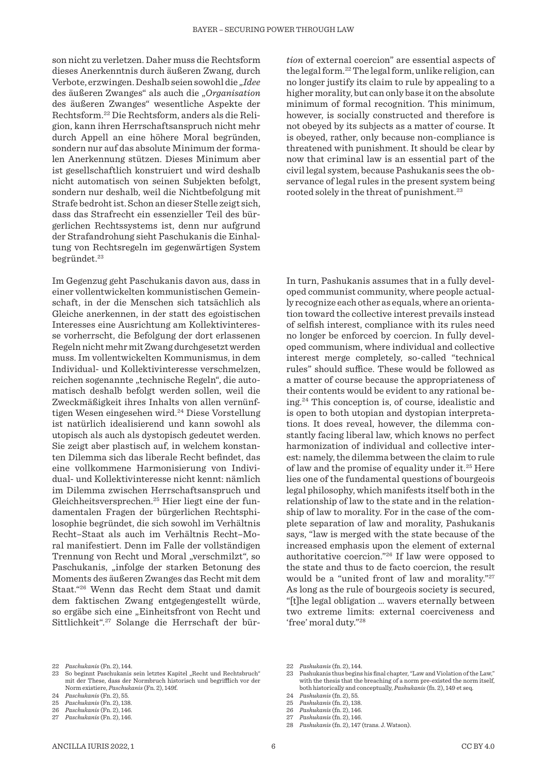son nicht zu verletzen. Daher muss die Rechtsform dieses Anerkenntnis durch äußeren Zwang, durch Verbote, erzwingen. Deshalb seien sowohl die "*Idee* des äußeren Zwanges" als auch die "*Organisation* des äußeren Zwanges" wesentliche Aspekte der Rechtsform.22 Die Rechtsform, anders als die Religion, kann ihren Herrschaftsanspruch nicht mehr durch Appell an eine höhere Moral begründen, sondern nur auf das absolute Minimum der formalen Anerkennung stützen. Dieses Minimum aber ist gesellschaftlich konstruiert und wird deshalb nicht automatisch von seinen Subjekten befolgt, sondern nur deshalb, weil die Nichtbefolgung mit Strafe bedroht ist. Schon an dieser Stelle zeigt sich, dass das Strafrecht ein essenzieller Teil des bürgerlichen Rechtssystems ist, denn nur aufgrund der Strafandrohung sieht Paschukanis die Einhaltung von Rechtsregeln im gegenwärtigen System begründet.<sup>23</sup>

Im Gegenzug geht Paschukanis davon aus, dass in einer vollentwickelten kommunistischen Gemeinschaft, in der die Menschen sich tatsächlich als Gleiche anerkennen, in der statt des egoistischen Interesses eine Ausrichtung am Kollektivinteresse vorherrscht, die Befolgung der dort erlassenen Regeln nicht mehr mit Zwang durchgesetzt werden muss. Im vollentwickelten Kommunismus, in dem Individual- und Kollektivinteresse verschmelzen, reichen sogenannte "technische Regeln", die automatisch deshalb befolgt werden sollen, weil die Zweckmäßigkeit ihres Inhalts von allen vernünftigen Wesen eingesehen wird.<sup>24</sup> Diese Vorstellung ist natürlich idealisierend und kann sowohl als utopisch als auch als dystopisch gedeutet werden. Sie zeigt aber plastisch auf, in welchem konstanten Dilemma sich das liberale Recht befindet, das eine vollkommene Harmonisierung von Individual- und Kollektivinteresse nicht kennt: nämlich im Dilemma zwischen Herrschaftsanspruch und Gleichheitsversprechen.25 Hier liegt eine der fundamentalen Fragen der bürgerlichen Rechtsphilosophie begründet, die sich sowohl im Verhältnis Recht–Staat als auch im Verhältnis Recht–Moral manifestiert. Denn im Falle der vollständigen Trennung von Recht und Moral "verschmilzt", so Paschukanis, "infolge der starken Betonung des Moments des äußeren Zwanges das Recht mit dem Staat."26 Wenn das Recht dem Staat und damit dem faktischen Zwang entgegengestellt würde, so ergäbe sich eine "Einheitsfront von Recht und Sittlichkeit".27 Solange die Herrschaft der bür-

*tion* of external coercion" are essential aspects of the legal form.22 The legal form, unlike religion, can no longer justify its claim to rule by appealing to a higher morality, but can only base it on the absolute minimum of formal recognition. This minimum, however, is socially constructed and therefore is not obeyed by its subjects as a matter of course. It is obeyed, rather, only because non-compliance is threatened with punishment. It should be clear by now that criminal law is an essential part of the civil legal system, because Pashukanis sees the ob-

servance of legal rules in the present system being

rooted solely in the threat of punishment.<sup>23</sup>

In turn, Pashukanis assumes that in a fully developed communist community, where people actually recognize each other as equals, where an orientation toward the collective interest prevails instead of selfish interest, compliance with its rules need no longer be enforced by coercion. In fully developed communism, where individual and collective interest merge completely, so-called "technical rules" should suffice. These would be followed as a matter of course because the appropriateness of their contents would be evident to any rational being.24 This conception is, of course, idealistic and is open to both utopian and dystopian interpretations. It does reveal, however, the dilemma constantly facing liberal law, which knows no perfect harmonization of individual and collective interest: namely, the dilemma between the claim to rule of law and the promise of equality under it.25 Here lies one of the fundamental questions of bourgeois legal philosophy, which manifests itself both in the relationship of law to the state and in the relationship of law to morality. For in the case of the complete separation of law and morality, Pashukanis says, "law is merged with the state because of the increased emphasis upon the element of external authoritative coercion."26 If law were opposed to the state and thus to de facto coercion, the result would be a "united front of law and morality."27 As long as the rule of bourgeois society is secured, "[t]he legal obligation ... wavers eternally between two extreme limits: external coerciveness and 'free' moral duty."28

<sup>22</sup> *Paschukanis* (Fn. 2), 144.

So beginnt Paschukanis sein letztes Kapitel "Recht und Rechtsbruch" mit der These, dass der Normbruch historisch und begrifflich vor der Norm existiere, *Paschukanis* (Fn. 2), 149f.

<sup>24</sup> *Paschukanis* (Fn. 2), 55. 25 *Paschukanis* (Fn. 2), 138.

<sup>26</sup> *Paschukanis* (Fn. 2), 146.

<sup>27</sup> *Paschukanis* (Fn. 2), 146.

<sup>22</sup> *Pashukanis* (fn. 2), 144.

Pashukanis thus begins his final chapter, "Law and Violation of the Law," with the thesis that the breaching of a norm pre-existed the norm itself, both historically and conceptually, *Pashukanis* (fn. 2), 149 et seq.

<sup>24</sup> *Pashukanis* (fn. 2), 55.

<sup>25</sup> *Pashukanis* (fn. 2), 138.

<sup>26</sup> *Pashukanis* (fn. 2), 146.

<sup>27</sup> *Pashukanis* (fn. 2), 146.

<sup>28</sup> *Pashukanis* (fn. 2), 147 (trans. J. Watson).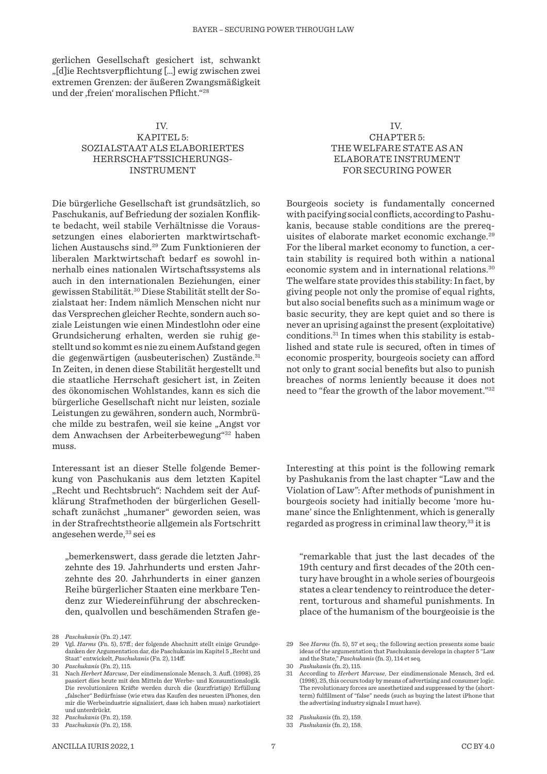gerlichen Gesellschaft gesichert ist, schwankt "[d]ie Rechtsverpflichtung […] ewig zwischen zwei extremen Grenzen: der äußeren Zwangsmäßigkeit und der ,freien' moralischen Pflicht."<sup>28</sup>

# IV. KAPITEL 5: SOZIALSTAAT ALS ELABORIERTES HERRSCHAFTSSICHERUNGS-INSTRUMENT

Die bürgerliche Gesellschaft ist grundsätzlich, so Paschukanis, auf Befriedung der sozialen Konflikte bedacht, weil stabile Verhältnisse die Voraussetzungen eines elaborierten marktwirtschaftlichen Austauschs sind.29 Zum Funktionieren der liberalen Marktwirtschaft bedarf es sowohl innerhalb eines nationalen Wirtschaftssystems als auch in den internationalen Beziehungen, einer gewissen Stabilität.30 Diese Stabilität stellt der Sozialstaat her: Indem nämlich Menschen nicht nur das Versprechen gleicher Rechte, sondern auch soziale Leistungen wie einen Mindestlohn oder eine Grundsicherung erhalten, werden sie ruhig gestellt und so kommt es nie zu einem Aufstand gegen die gegenwärtigen (ausbeuterischen) Zustände.<sup>31</sup> In Zeiten, in denen diese Stabilität hergestellt und die staatliche Herrschaft gesichert ist, in Zeiten des ökonomischen Wohlstandes, kann es sich die bürgerliche Gesellschaft nicht nur leisten, soziale Leistungen zu gewähren, sondern auch, Normbrüche milde zu bestrafen, weil sie keine "Angst vor dem Anwachsen der Arbeiterbewegung"32 haben muss.

Interessant ist an dieser Stelle folgende Bemerkung von Paschukanis aus dem letzten Kapitel "Recht und Rechtsbruch": Nachdem seit der Aufklärung Strafmethoden der bürgerlichen Gesellschaft zunächst "humaner" geworden seien, was in der Strafrechtstheorie allgemein als Fortschritt angesehen werde, 33 sei es

"bemerkenswert, dass gerade die letzten Jahrzehnte des 19. Jahrhunderts und ersten Jahrzehnte des 20. Jahrhunderts in einer ganzen Reihe bürgerlicher Staaten eine merkbare Tendenz zur Wiedereinführung der abschreckenden, qualvollen und beschämenden Strafen ge-

#### IV. CHAPTER 5: THE WELFARE STATE AS AN ELABORATE INSTRUMENT FOR SECURING POWER

Bourgeois society is fundamentally concerned with pacifying social conflicts, according to Pashukanis, because stable conditions are the prerequisites of elaborate market economic exchange.29 For the liberal market economy to function, a certain stability is required both within a national economic system and in international relations.30 The welfare state provides this stability: In fact, by giving people not only the promise of equal rights, but also social benefits such as a minimum wage or basic security, they are kept quiet and so there is never an uprising against the present (exploitative) conditions.31 In times when this stability is established and state rule is secured, often in times of economic prosperity, bourgeois society can afford not only to grant social benefits but also to punish breaches of norms leniently because it does not need to "fear the growth of the labor movement."32

Interesting at this point is the following remark by Pashukanis from the last chapter "Law and the Violation of Law": After methods of punishment in bourgeois society had initially become 'more humane' since the Enlightenment, which is generally regarded as progress in criminal law theory,<sup>33</sup> it is

"remarkable that just the last decades of the 19th century and first decades of the 20th century have brought in a whole series of bourgeois states a clear tendency to reintroduce the deterrent, torturous and shameful punishments. In place of the humanism of the bourgeoisie is the

<sup>28</sup> *Paschukanis* (Fn. 2) ,147.

<sup>29</sup> Vgl. *Harms* (Fn. 5), 57ff.; der folgende Abschnitt stellt einige Grundgedanken der Argumentation dar, die Paschukanis im Kapitel 5 "Recht und Staat" entwickelt, *Paschukanis* (Fn. 2), 114ff.

<sup>30</sup> *Paschukanis* (Fn. 2), 115.

<sup>31</sup> Nach *Herbert Marcuse*, Der eindimensionale Mensch, 3. Aufl. (1998), 25 passiert dies heute mit den Mitteln der Werbe- und Konsumtionslogik. Die revolutionären Kräfte werden durch die (kurzfristige) Erfüllung falscher" Bedürfnisse (wie etwa das Kaufen des neuesten iPhones, den mir die Werbeindustrie signalisiert, dass ich haben muss) narkotisiert und unterdrückt.

<sup>32</sup> *Paschukanis* (Fn. 2), 159.

<sup>33</sup> *Paschukanis* (Fn. 2), 158.

<sup>29</sup> See *Harms* (fn. 5), 57 et seq.; the following section presents some basic ideas of the argumentation that Paschukanis develops in chapter 5 "Law and the State," *Paschukanis* (fn. 3), 114 et seq.

<sup>30</sup> *Pashukanis* (fn. 2), 115.

<sup>31</sup> According to *Herbert Marcuse*, Der eindimensionale Mensch, 3rd ed. (1998), 25, this occurs today by means of advertising and consumer logic. The revolutionary forces are anesthetized and suppressed by the (shortterm) fulfillment of "false" needs (such as buying the latest iPhone that the advertising industry signals I must have).

<sup>32</sup> *Pashukanis* (fn. 2), 159.

<sup>33</sup> *Pashukanis* (fn. 2), 158.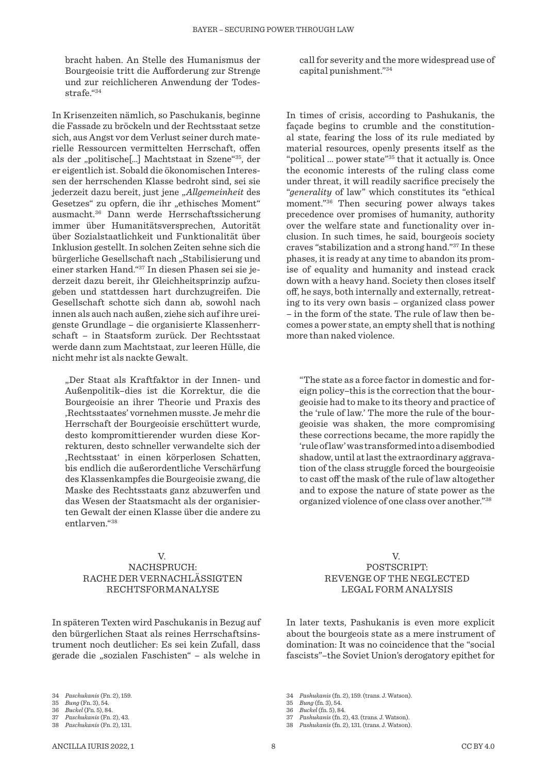bracht haben. An Stelle des Humanismus der Bourgeoisie tritt die Aufforderung zur Strenge und zur reichlicheren Anwendung der Todesstrafe."34

In Krisenzeiten nämlich, so Paschukanis, beginne die Fassade zu bröckeln und der Rechtsstaat setze sich, aus Angst vor dem Verlust seiner durch materielle Ressourcen vermittelten Herrschaft, offen als der "politische[…] Machtstaat in Szene"35, der er eigentlich ist. Sobald die ökonomischen Interessen der herrschenden Klasse bedroht sind, sei sie jederzeit dazu bereit, just jene "*Allgemeinheit* des Gesetzes" zu opfern, die ihr "ethisches Moment" ausmacht.36 Dann werde Herrschaftssicherung immer über Humanitätsversprechen, Autorität über Sozialstaatlichkeit und Funktionalität über Inklusion gestellt. In solchen Zeiten sehne sich die bürgerliche Gesellschaft nach "Stabilisierung und einer starken Hand."37 In diesen Phasen sei sie jederzeit dazu bereit, ihr Gleichheitsprinzip aufzugeben und stattdessen hart durchzugreifen. Die Gesellschaft schotte sich dann ab, sowohl nach innen als auch nach außen, ziehe sich auf ihre ureigenste Grundlage – die organisierte Klassenherrschaft – in Staatsform zurück. Der Rechtsstaat werde dann zum Machtstaat, zur leeren Hülle, die nicht mehr ist als nackte Gewalt.

"Der Staat als Kraftfaktor in der Innen- und Außenpolitik–dies ist die Korrektur, die die Bourgeoisie an ihrer Theorie und Praxis des 'Rechtsstaates' vornehmen musste. Je mehr die Herrschaft der Bourgeoisie erschüttert wurde, desto kompromittierender wurden diese Korrekturen, desto schneller verwandelte sich der 'Rechtsstaat' in einen körperlosen Schatten, bis endlich die außerordentliche Verschärfung des Klassenkampfes die Bourgeoisie zwang, die Maske des Rechtsstaats ganz abzuwerfen und das Wesen der Staatsmacht als der organisierten Gewalt der einen Klasse über die andere zu entlarven."38

#### V. NACHSPRUCH: RACHE DER VERNACHLÄSSIGTEN RECHTSFORMANALYSE

In späteren Texten wird Paschukanis in Bezug auf den bürgerlichen Staat als reines Herrschaftsinstrument noch deutlicher: Es sei kein Zufall, dass gerade die "sozialen Faschisten" – als welche in

36 *Buckel* (Fn. 5), 84.

call for severity and the more widespread use of capital punishment."34

In times of crisis, according to Pashukanis, the façade begins to crumble and the constitutional state, fearing the loss of its rule mediated by material resources, openly presents itself as the "political ... power state"<sup>35</sup> that it actually is. Once the economic interests of the ruling class come under threat, it will readily sacrifice precisely the "*generality* of law" which constitutes its "ethical moment."36 Then securing power always takes precedence over promises of humanity, authority over the welfare state and functionality over inclusion. In such times, he said, bourgeois society craves "stabilization and a strong hand."37 In these phases, it is ready at any time to abandon its promise of equality and humanity and instead crack down with a heavy hand. Society then closes itself off, he says, both internally and externally, retreating to its very own basis – organized class power – in the form of the state. The rule of law then becomes a power state, an empty shell that is nothing more than naked violence.

"The state as a force factor in domestic and foreign policy–this is the correction that the bourgeoisie had to make to its theory and practice of the 'rule of law.' The more the rule of the bourgeoisie was shaken, the more compromising these corrections became, the more rapidly the 'rule of law' was transformed into a disembodied shadow, until at last the extraordinary aggravation of the class struggle forced the bourgeoisie to cast off the mask of the rule of law altogether and to expose the nature of state power as the organized violence of one class over another."38

> V. POSTSCRIPT: REVENGE OF THE NEGLECTED LEGAL FORM ANALYSIS

In later texts, Pashukanis is even more explicit about the bourgeois state as a mere instrument of domination: It was no coincidence that the "social fascists"–the Soviet Union's derogatory epithet for

<sup>34</sup> *Paschukanis* (Fn. 2), 159.

<sup>35</sup> *Bung* (Fn. 3), 54.

<sup>37</sup> *Paschukanis* (Fn. 2), 43. 38 *Paschukanis* (Fn. 2), 131.

<sup>34</sup> *Pashukanis* (fn. 2), 159. (trans. J. Watson).

<sup>35</sup> *Bung* (fn. 3), 54.

<sup>36</sup> *Buckel* (fn. 5), 84.

<sup>37</sup> *Pashukanis* (fn. 2), 43. (trans. J. Watson).

<sup>38</sup> *Pashukanis* (fn. 2), 131. (trans. J. Watson).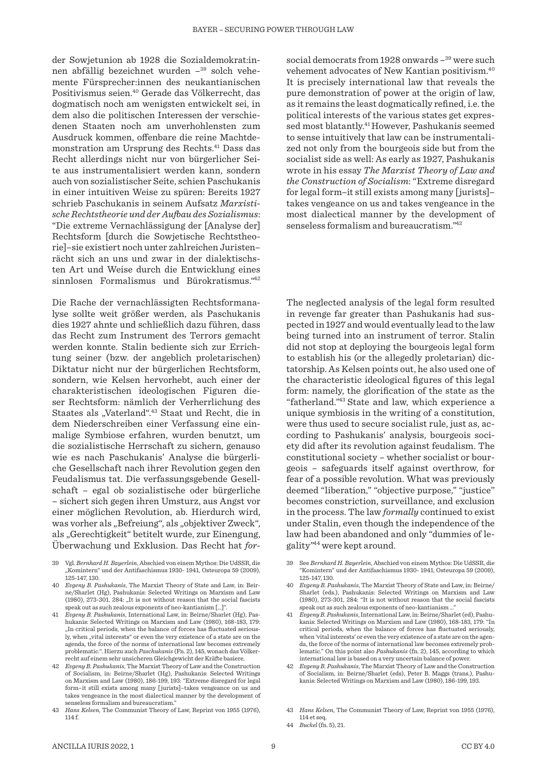der Sowjetunion ab 1928 die Sozialdemokrat:innen abfällig bezeichnet wurden –39 solch vehemente Fürsprecher:innen des neukantianischen Positivismus seien.40 Gerade das Völkerrecht, das dogmatisch noch am wenigsten entwickelt sei, in dem also die politischen Interessen der verschiedenen Staaten noch am unverhohlensten zum Ausdruck kommen, offenbare die reine Machtdemonstration am Ursprung des Rechts.41 Dass das Recht allerdings nicht nur von bürgerlicher Seite aus instrumentalisiert werden kann, sondern auch von sozialistischer Seite, schien Paschukanis in einer intuitiven Weise zu spüren: Bereits 1927 schrieb Paschukanis in seinem Aufsatz *Marxistische Rechtstheorie und der Aufbau des Sozialismus*: "Die extreme Vernachlässigung der [Analyse der] Rechtsform [durch die Sowjetische Rechtstheorie]–sie existiert noch unter zahlreichen Juristen– rächt sich an uns und zwar in der dialektischsten Art und Weise durch die Entwicklung eines sinnlosen Formalismus und Bürokratismus."42

Die Rache der vernachlässigten Rechtsformanalyse sollte weit größer werden, als Paschukanis dies 1927 ahnte und schließlich dazu führen, dass das Recht zum Instrument des Terrors gemacht werden konnte. Stalin bediente sich zur Errichtung seiner (bzw. der angeblich proletarischen) Diktatur nicht nur der bürgerlichen Rechtsform, sondern, wie Kelsen hervorhebt, auch einer der charakteristischen ideologischen Figuren dieser Rechtsform: nämlich der Verherrlichung des Staates als "Vaterland".<sup>43</sup> Staat und Recht, die in dem Niederschreiben einer Verfassung eine einmalige Symbiose erfahren, wurden benutzt, um die sozialistische Herrschaft zu sichern, genauso wie es nach Paschukanis' Analyse die bürgerliche Gesellschaft nach ihrer Revolution gegen den Feudalismus tat. Die verfassungsgebende Gesellschaft – egal ob sozialistische oder bürgerliche – sichert sich gegen ihren Umsturz, aus Angst vor einer möglichen Revolution, ab. Hierdurch wird, was vorher als "Befreiung", als "objektiver Zweck", als "Gerechtigkeit" betitelt wurde, zur Einengung, Überwachung und Exklusion. Das Recht hat *for-*

- 39 Vgl. *Bernhard H. Bayerlein*, Abschied von einem Mythos: Die UdSSR, die "Komintern" und der Antifaschismus 1930- 1941, Osteuropa 59 (2009), 125-147, 130.
- 40 *Evgeny B. Pashukanis*, The Marxist Theory of State and Law, in: Beirne/Sharlet (Hg), Pashukanis: Selected Writings on Marxism and Law (1980), 273-301, 284: "It is not without reason that the social fascists speak out as such zealous exponents of neo-kantianism […]".
- 41 *Evgeny B. Pashukanis*, International Law, in: Beirne/Sharlet (Hg), Pashukanis: Selected Writings on Marxism and Law (1980), 168-183, 179: "In critical periods, when the balance of forces has fluctuated seriously, when "vital interests" or even the very existence of a state are on the agenda, the force of the norms of international law becomes extremely problematic.". Hierzu auch *Paschukanis* (Fn. 2), 145, wonach das Völkerrecht auf einem sehr unsicheren Gleichgewicht der Kräfte basiere.
- 42 *Evgeny B. Pashukanis*, The Marxist Theory of Law and the Construction of Socialism, in: Beirne/Sharlet (Hg), Pashukanis: Selected Writings on Marxism and Law (1980), 186-199, 193: "Extreme disregard for legal form–it still exists among many [ jurists]–takes vengeance on us and takes vengeance in the most dialectical manner by the development of senseless formalism and bureaucratism."
- 43 *Hans Kelsen*, The Communist Theory of Law, Reprint von 1955 (1976), 114 f.

social democrats from 1928 onwards -<sup>39</sup> were such vehement advocates of New Kantian positivism.40 It is precisely international law that reveals the pure demonstration of power at the origin of law, as it remains the least dogmatically refined, i.e. the political interests of the various states get expressed most blatantly.41However, Pashukanis seemed to sense intuitively that law can be instrumentalized not only from the bourgeois side but from the socialist side as well: As early as 1927, Pashukanis wrote in his essay *The Marxist Theory of Law and the Construction of Socialism*: "Extreme disregard for legal form–it still exists among many [jurists]– takes vengeance on us and takes vengeance in the most dialectical manner by the development of senseless formalism and bureaucratism."42

The neglected analysis of the legal form resulted in revenge far greater than Pashukanis had suspected in 1927 and would eventually lead to the law being turned into an instrument of terror. Stalin did not stop at deploying the bourgeois legal form to establish his (or the allegedly proletarian) dictatorship. As Kelsen points out, he also used one of the characteristic ideological figures of this legal form: namely, the glorification of the state as the "fatherland."43 State and law, which experience a unique symbiosis in the writing of a constitution, were thus used to secure socialist rule, just as, according to Pashukanis' analysis, bourgeois society did after its revolution against feudalism. The constitutional society – whether socialist or bourgeois – safeguards itself against overthrow, for fear of a possible revolution. What was previously deemed "liberation," "objective purpose," "justice" becomes constriction, surveillance, and exclusion in the process. The law *formally* continued to exist under Stalin, even though the independence of the law had been abandoned and only "dummies of legality"44 were kept around.

- 39 See *Bernhard H. Bayerlein*, Abschied von einem Mythos: Die UdSSR, die "Komintern" und der Antifaschismus 1930- 1941, Osteuropa 59 (2009), 125-147, 130.
- 40 *Evgeny B. Pashukanis*, The Marxist Theory of State and Law, in: Beirne/ Sharlet (eds.), Pashukanis: Selected Writings on Marxism and Law (1980), 273-301, 284: "It is not without reason that the social fascists speak out as such zealous exponents of neo-kantianism.
- 41 *Evgeny B. Pashukanis*, International Law, in: Beirne/Sharlet (ed), Pashukanis: Selected Writings on Marxism and Law (1980), 168-183, 179: "In critical periods, when the balance of forces has fluctuated seriously, when 'vital interests' or even the very existence of a state are on the agenda, the force of the norms of international law becomes extremely problematic." On this point also *Pashukanis* (fn. 2), 145, according to which international law is based on a very uncertain balance of power.
- 42 *Evgeny B. Pashukanis*, The Marxist Theory of Law and the Construction of Socialism, in: Beirne/Sharlet (eds), Peter B. Maggs (trans.), Pashukanis: Selected Writings on Marxism and Law (1980), 186-199, 193.
- 43 *Hans Kelsen*, The Communist Theory of Law, Reprint von 1955 (1976), 114 et seq.
- 44 *Buckel* (fn. 5), 21.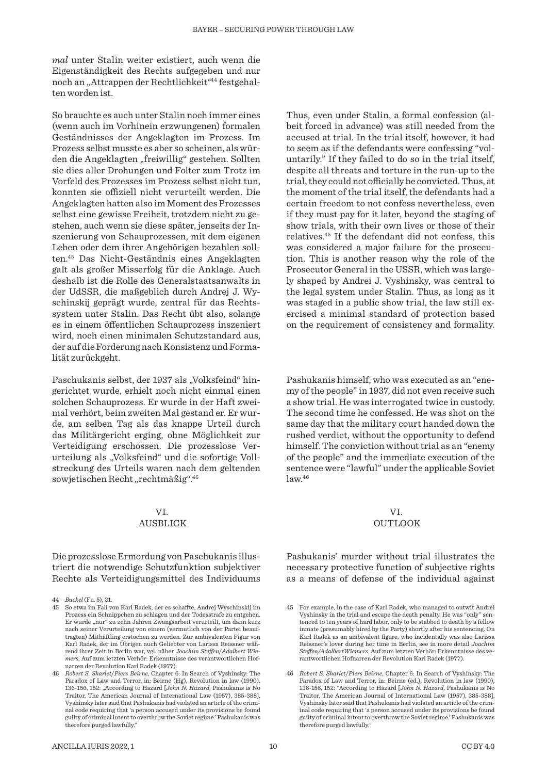*mal* unter Stalin weiter existiert, auch wenn die Eigenständigkeit des Rechts aufgegeben und nur noch an "Attrappen der Rechtlichkeit"<sup>44</sup> festgehalten worden ist.

So brauchte es auch unter Stalin noch immer eines (wenn auch im Vorhinein erzwungenen) formalen Geständnisses der Angeklagten im Prozess. Im Prozess selbst musste es aber so scheinen, als würden die Angeklagten "freiwillig" gestehen. Sollten sie dies aller Drohungen und Folter zum Trotz im Vorfeld des Prozesses im Prozess selbst nicht tun, konnten sie offiziell nicht verurteilt werden. Die Angeklagten hatten also im Moment des Prozesses selbst eine gewisse Freiheit, trotzdem nicht zu gestehen, auch wenn sie diese später, jenseits der Inszenierung von Schauprozessen, mit dem eigenen Leben oder dem ihrer Angehörigen bezahlen sollten.45 Das Nicht-Geständnis eines Angeklagten galt als großer Misserfolg für die Anklage. Auch deshalb ist die Rolle des Generalstaatsanwalts in der UdSSR, die maßgeblich durch Andrej J. Wyschinskij geprägt wurde, zentral für das Rechtssystem unter Stalin. Das Recht übt also, solange es in einem öffentlichen Schauprozess inszeniert wird, noch einen minimalen Schutzstandard aus, der auf die Forderung nach Konsistenz und Formalität zurückgeht.

Paschukanis selbst, der 1937 als "Volksfeind" hingerichtet wurde, erhielt noch nicht einmal einen solchen Schauprozess. Er wurde in der Haft zweimal verhört, beim zweiten Mal gestand er. Er wurde, am selben Tag als das knappe Urteil durch das Militärgericht erging, ohne Möglichkeit zur Verteidigung erschossen. Die prozesslose Verurteilung als "Volksfeind" und die sofortige Vollstreckung des Urteils waren nach dem geltenden sowjetischen Recht "rechtmäßig".<sup>46</sup>

#### VI. AUSBLICK

Die prozesslose Ermordung von Paschukanis illustriert die notwendige Schutzfunktion subjektiver Rechte als Verteidigungsmittel des Individuums

44 *Buckel* (Fn. 5), 21.

Thus, even under Stalin, a formal confession (albeit forced in advance) was still needed from the accused at trial. In the trial itself, however, it had to seem as if the defendants were confessing "voluntarily." If they failed to do so in the trial itself, despite all threats and torture in the run-up to the trial, they could not officially be convicted. Thus, at the moment of the trial itself, the defendants had a certain freedom to not confess nevertheless, even if they must pay for it later, beyond the staging of show trials, with their own lives or those of their relatives.45 If the defendant did not confess, this was considered a major failure for the prosecution. This is another reason why the role of the Prosecutor General in the USSR, which was largely shaped by Andrei J. Vyshinsky, was central to the legal system under Stalin. Thus, as long as it was staged in a public show trial, the law still exercised a minimal standard of protection based on the requirement of consistency and formality.

Pashukanis himself, who was executed as an "enemy of the people" in 1937, did not even receive such a show trial. He was interrogated twice in custody. The second time he confessed. He was shot on the same day that the military court handed down the rushed verdict, without the opportunity to defend himself. The conviction without trial as an "enemy of the people" and the immediate execution of the sentence were "lawful" under the applicable Soviet  $law.<sup>46</sup>$ 

#### VI. OUTLOOK

Pashukanis' murder without trial illustrates the necessary protective function of subjective rights as a means of defense of the individual against

<sup>45</sup> So etwa im Fall von Karl Radek, der es schaffte, Andrej Wyschinskij im Prozess ein Schnippchen zu schlagen und der Todesstrafe zu entgehen. Er wurde "nur" zu zehn Jahren Zwangsarbeit verurteilt, um dann kurz nach seiner Verurteilung von einem (vermutlich von der Partei beauftragten) Mithäftling erstochen zu werden. Zur ambivalenten Figur von Karl Radek, der im Übrigen auch Geliebter von Larissa Reissner während ihrer Zeit in Berlin war, vgl. näher *Joachim Steffen*/*Adalbert Wiemers*, Auf zum letzten Verhör: Erkenntnisse des verantwortlichen Hofnarren der Revolution Karl Radek (1977).

<sup>46</sup> *Robert S. Sharlet*/*Piers Beirne*, Chapter 6: In Search of Vyshinsky: The Paradox of Law and Terror, in: Beirne (Hg), Revolution in law (1990), 136-156, 152: "According to Hazard [John N. Hazard, Pashukanis is No Traitor, The American Journal of International Law (1957), 385-388], Vyshinsky later said that Pashukanis had violated an article of the criminal code requiring that 'a person accused under its provisions be found guilty of criminal intent to overthrow the Soviet regime.' Pashukanis was therefore purged lawfully."

<sup>45</sup> For example, in the case of Karl Radek, who managed to outwit Andrei Vyshinsky in the trial and escape the death penalty. He was "only" sentenced to ten years of hard labor, only to be stabbed to death by a fellow inmate (presumably hired by the Party) shortly after his sentencing. On Karl Radek as an ambivalent figure, who incidentally was also Larissa Reissner's lover during her time in Berlin, see in more detail *Joachim Steffen/AdalbertWiemers*, Auf zum letzten Verhör: Erkenntnisse des verantwortlichen Hofnarren der Revolution Karl Radek (1977).

<sup>46</sup> *Robert S. Sharlet*/*Piers Beirne*, Chapter 6: In Search of Vyshinsky: The Paradox of Law and Terror, in: Beirne (ed.), Revolution in law (1990), 136-156, 152: "According to Hazard [*John N. Hazard*, Pashukanis is No Traitor, The American Journal of International Law (1957), 385-388], Vyshinsky later said that Pashukanis had violated an article of the criminal code requiring that 'a person accused under its provisions be found guilty of criminal intent to overthrow the Soviet regime.' Pashukanis was therefore purged lawfully."